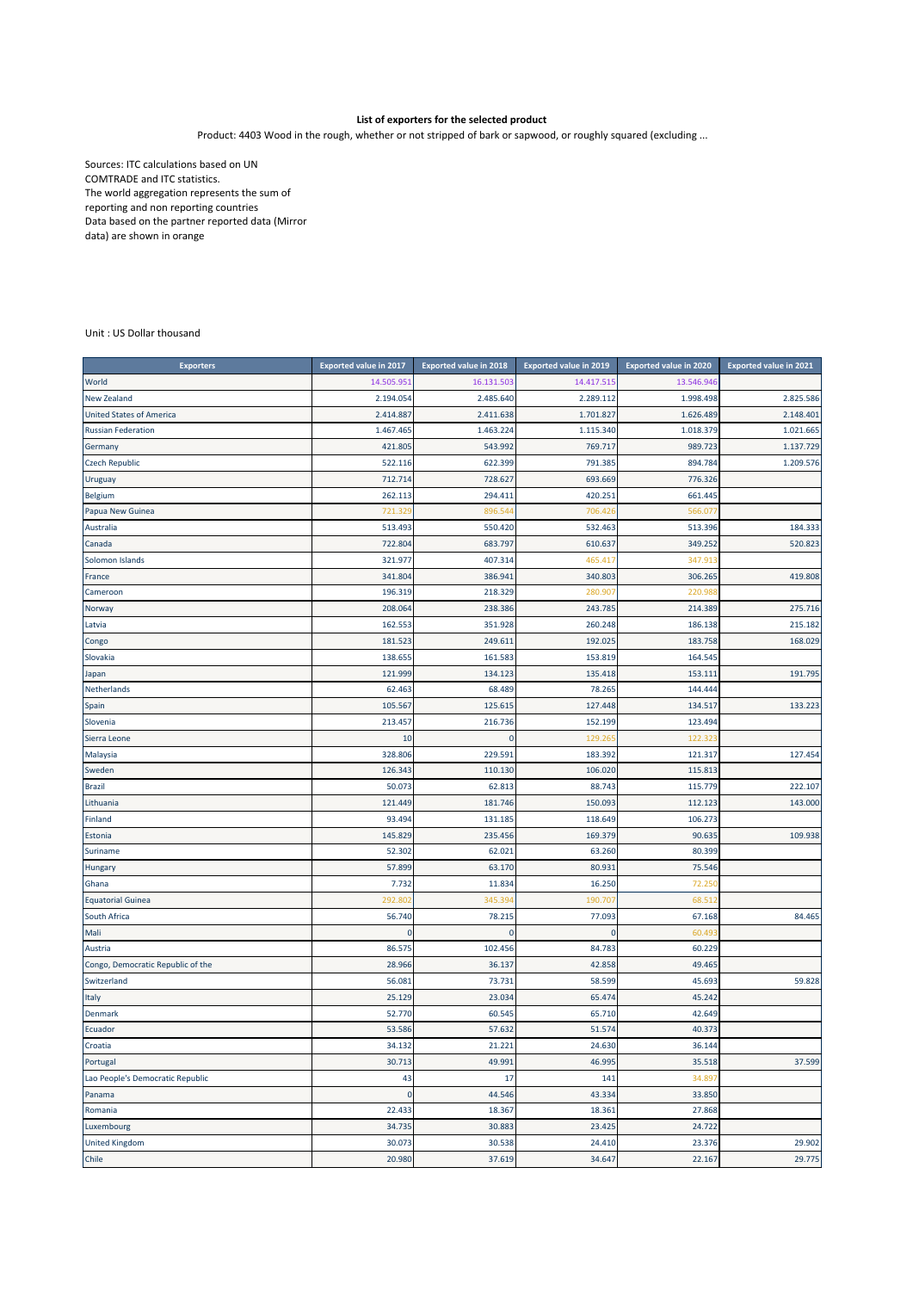## **List of exporters for the selected product**

Product: 4403 Wood in the rough, whether or not stripped of bark or sapwood, or roughly squared (excluding ...

Sources: ITC calculations based on UN COMTRADE and ITC statistics. The world aggregation represents the sum of reporting and non reporting countries Data based on the partner reported data (Mirror data) are shown in orange

Unit : US Dollar thousand

| <b>Exporters</b>                  | <b>Exported value in 2017</b> | <b>Exported value in 2018</b> | <b>Exported value in 2019</b> | <b>Exported value in 2020</b> | <b>Exported value in 2021</b> |
|-----------------------------------|-------------------------------|-------------------------------|-------------------------------|-------------------------------|-------------------------------|
| World                             | 14.505.951                    | 16.131.503                    | 14.417.515                    | 13.546.946                    |                               |
| <b>New Zealand</b>                | 2.194.054                     | 2.485.640                     | 2.289.112                     | 1.998.498                     | 2.825.586                     |
| <b>United States of America</b>   | 2.414.887                     | 2.411.638                     | 1.701.827                     | 1.626.489                     | 2.148.401                     |
| <b>Russian Federation</b>         | 1.467.465                     | 1.463.224                     | 1.115.340                     | 1.018.379                     | 1.021.665                     |
| Germany                           | 421.805                       | 543.992                       | 769.717                       | 989.723                       | 1.137.729                     |
| <b>Czech Republic</b>             | 522.116                       | 622.399                       | 791.385                       | 894.784                       | 1.209.576                     |
| Uruguay                           | 712.714                       | 728.627                       | 693.669                       | 776.326                       |                               |
| <b>Belgium</b>                    | 262.113                       | 294.411                       | 420.251                       | 661.445                       |                               |
| Papua New Guinea                  | 721.32                        | 896.54                        | 706.426                       | 566.07                        |                               |
| Australia                         | 513.493                       | 550.420                       | 532.463                       | 513.396                       | 184.333                       |
| Canada                            | 722.804                       | 683.797                       | 610.637                       | 349.252                       | 520.823                       |
| Solomon Islands                   | 321.977                       | 407.314                       | 465.417                       | 347.913                       |                               |
| France                            | 341.804                       | 386.941                       | 340.803                       | 306.265                       | 419.808                       |
| Cameroon                          | 196.319                       | 218.329                       | 280.907                       | 220.98                        |                               |
| Norway                            | 208.064                       | 238.386                       | 243.785                       | 214.389                       | 275.716                       |
| Latvia                            | 162.553                       | 351.928                       | 260.248                       | 186.138                       | 215.182                       |
| Congo                             | 181.523                       | 249.611                       | 192.025                       | 183.758                       | 168.029                       |
| Slovakia                          | 138.655                       | 161.583                       | 153.819                       | 164.545                       |                               |
| Japan                             | 121.999                       | 134.123                       | 135.418                       | 153.111                       | 191.795                       |
| Netherlands                       | 62.463                        | 68.489                        | 78.265                        | 144.444                       |                               |
| Spain                             | 105.567                       | 125.615                       | 127.448                       | 134.517                       | 133.223                       |
| Slovenia                          | 213.457                       | 216.736                       | 152.199                       | 123.494                       |                               |
| Sierra Leone                      | 10                            | C                             | 129.265                       | 122.323                       |                               |
| Malaysia                          | 328.806                       | 229.591                       | 183.392                       | 121.317                       | 127.454                       |
| Sweden                            | 126.343                       | 110.130                       | 106.020                       | 115.813                       |                               |
| <b>Brazil</b>                     | 50.073                        | 62.813                        | 88.743                        | 115.779                       | 222.107                       |
| Lithuania                         | 121.449                       | 181.746                       | 150.093                       | 112.123                       | 143.000                       |
| Finland                           | 93.494                        | 131.185                       | 118.649                       | 106.273                       |                               |
| Estonia                           | 145.829                       | 235.456                       | 169.379                       | 90.635                        | 109.938                       |
| Suriname                          | 52.302                        | 62.021                        | 63.260                        | 80.399                        |                               |
| Hungary                           | 57.899                        | 63.170                        | 80.931                        | 75.546                        |                               |
| Ghana                             | 7.732                         | 11.834                        | 16.250                        | 72.250                        |                               |
| <b>Equatorial Guinea</b>          | 292.80                        | 345.39                        | 190.707                       | 68.512                        |                               |
| South Africa                      | 56.740                        | 78.215                        | 77.093                        | 67.168                        | 84.465                        |
| Mali                              | $\mathbf{0}$                  | $\mathbf{0}$                  | $\pmb{0}$                     | 60.49                         |                               |
| Austria                           | 86.575                        | 102.456                       | 84.783                        | 60.229                        |                               |
| Congo, Democratic Republic of the | 28.966                        | 36.137                        | 42.858                        | 49.465                        |                               |
| Switzerland                       | 56.081                        | 73.731                        | 58.599                        | 45.693                        | 59.828                        |
| Italy                             | 25.129                        | 23.034                        | 65.474                        | 45.242                        |                               |
| Denmark                           | 52.770                        | 60.545                        | 65.710                        | 42.649                        |                               |
| Ecuador                           | 53.586                        | 57.632                        | 51.574                        | 40.373                        |                               |
| Croatia                           | 34.132                        | 21.221                        | 24.630                        | 36.144                        |                               |
| Portugal                          | 30.713                        | 49.991                        | 46.995                        | 35.518                        | 37.599                        |
| Lao People's Democratic Republic  | 43                            | 17                            | 141                           | 34.89                         |                               |
| Panama                            | $\bf{0}$                      | 44.546                        | 43.334                        | 33.850                        |                               |
| Romania                           | 22.433                        | 18.367                        | 18.361                        | 27.868                        |                               |
| Luxembourg                        | 34.735                        | 30.883                        | 23.425                        | 24.722                        |                               |
| <b>United Kingdom</b>             | 30.073                        | 30.538                        | 24.410                        | 23.376                        | 29.902                        |
| Chile                             | 20.980                        | 37.619                        | 34.647                        | 22.167                        | 29.775                        |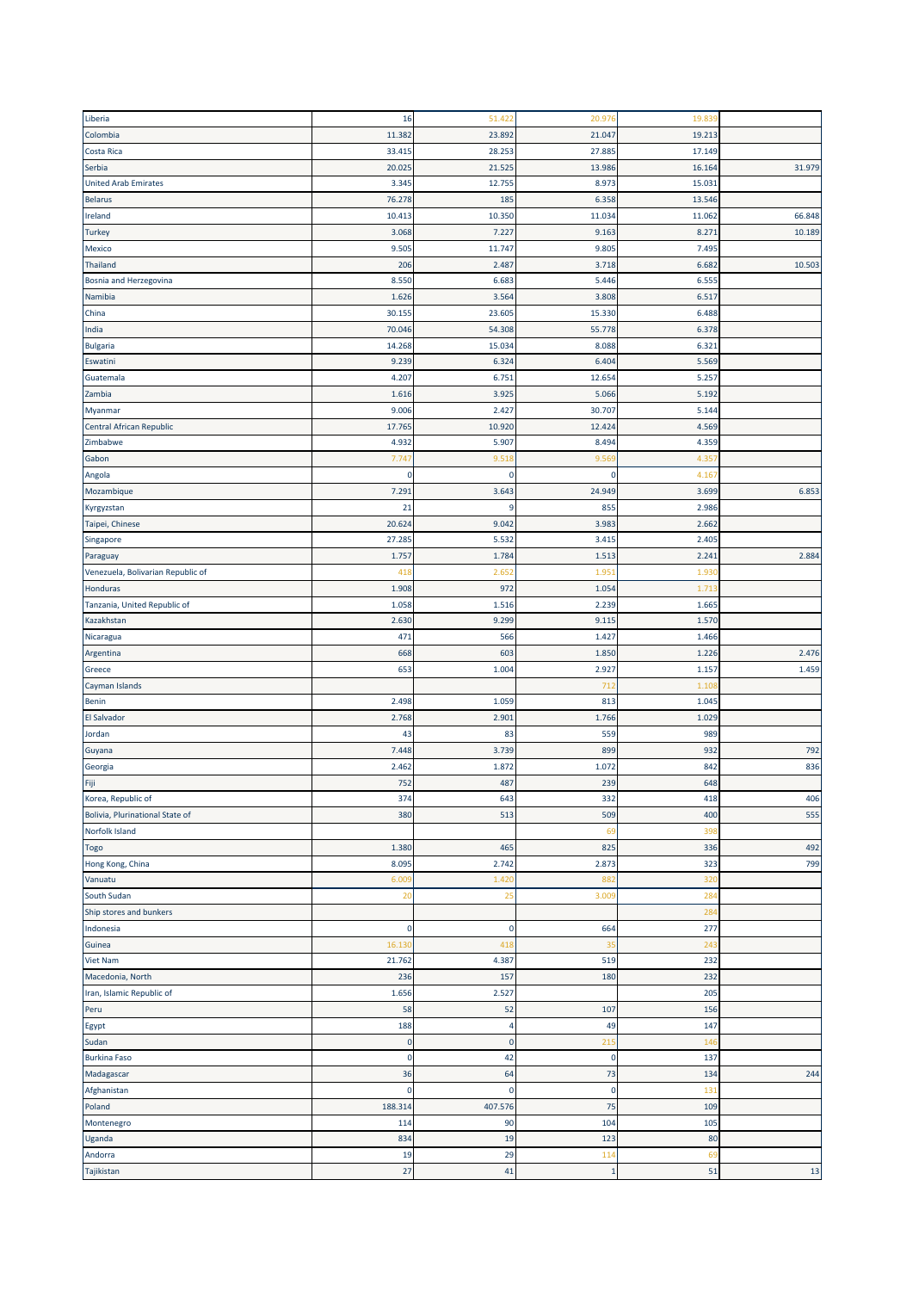| Liberia                           | 16          | 51.422      | 20.976      | 19.839 |        |
|-----------------------------------|-------------|-------------|-------------|--------|--------|
| Colombia                          | 11.382      | 23.892      | 21.047      | 19.213 |        |
| Costa Rica                        | 33.41       | 28.253      | 27.885      | 17.149 |        |
| Serbia                            | 20.025      | 21.525      | 13.986      | 16.164 | 31.979 |
| <b>United Arab Emirates</b>       | 3.345       | 12.755      | 8.973       | 15.031 |        |
| <b>Belarus</b>                    | 76.278      | 185         | 6.358       | 13.546 |        |
|                                   |             |             |             |        |        |
| Ireland                           | 10.413      | 10.350      | 11.034      | 11.062 | 66.848 |
| <b>Turkey</b>                     | 3.068       | 7.227       | 9.163       | 8.27   | 10.189 |
| Mexico                            | 9.505       | 11.747      | 9.805       | 7.495  |        |
| Thailand                          | 206         | 2.487       | 3.718       | 6.682  | 10.503 |
| Bosnia and Herzegovina            | 8.550       | 6.683       | 5.446       | 6.555  |        |
| Namibia                           | 1.626       | 3.564       | 3.808       | 6.517  |        |
| China                             | 30.155      | 23.605      | 15.330      | 6.488  |        |
| India                             | 70.046      | 54.308      | 55.778      | 6.378  |        |
| <b>Bulgaria</b>                   | 14.268      | 15.034      | 8.088       | 6.321  |        |
| Eswatini                          | 9.239       | 6.324       | 6.404       | 5.569  |        |
| Guatemala                         | 4.207       | 6.751       | 12.654      | 5.257  |        |
| Zambia                            | 1.616       | 3.925       | 5.066       | 5.192  |        |
| Myanmar                           | 9.006       | 2.427       | 30.707      | 5.144  |        |
| Central African Republic          | 17.765      | 10.920      | 12.424      | 4.569  |        |
| Zimbabwe                          | 4.932       | 5.907       | 8.494       | 4.359  |        |
| Gabon                             | 7.74        | 9.51        | 9.569       | 4.35   |        |
|                                   | 0           | 0           | 0           | 4.16   |        |
| Angola                            | 7.291       |             |             |        |        |
| Mozambique                        |             | 3.643       | 24.949      | 3.699  | 6.853  |
| Kyrgyzstan                        | 21          | q           | 855         | 2.986  |        |
| Taipei, Chinese                   | 20.624      | 9.042       | 3.983       | 2.662  |        |
| Singapore                         | 27.285      | 5.532       | 3.415       | 2.405  |        |
| Paraguay                          | 1.757       | 1.784       | 1.513       | 2.24   | 2.884  |
| Venezuela, Bolivarian Republic of | 41          | 2.65        | 1.95        | 1.93   |        |
| <b>Honduras</b>                   | 1.908       | 972         | 1.054       | 1.713  |        |
| Tanzania, United Republic of      | 1.058       | 1.516       | 2.239       | 1.665  |        |
| Kazakhstan                        | 2.630       | 9.299       | 9.115       | 1.570  |        |
| Nicaragua                         | 471         | 566         | 1.427       | 1.466  |        |
| Argentina                         | 668         | 603         | 1.850       | 1.226  | 2.476  |
| Greece                            | 653         | 1.004       | 2.927       | 1.157  | 1.459  |
| Cayman Islands                    |             |             | 712         | 1.10   |        |
| <b>Benin</b>                      | 2.498       | 1.059       | 813         | 1.045  |        |
| <b>El Salvador</b>                | 2.768       | 2.901       | 1.766       | 1.029  |        |
| Jordan                            | 43          | 83          | 559         | 989    |        |
| Guyana                            | 7.448       | 3.739       | 899         | 932    | 792    |
|                                   | 2.462       | 1.872       | 1.072       | 842    | 836    |
| Georgia                           |             |             |             |        |        |
| Fiji                              | 752         | 487         | 239         | 648    |        |
| Korea, Republic of                | 374         | 643         | 332         | 418    | 406    |
| Bolivia, Plurinational State of   | 380         | 513         | 509         | 400    | 555    |
| Norfolk Island                    |             |             | 69          | 398    |        |
| <b>Togo</b>                       | 1.380       | 465         | 825         | 336    | 492    |
| Hong Kong, China                  | 8.095       | 2.742       | 2.873       | 323    | 799    |
| Vanuatu                           | 6.009       | 1.420       | 882         | 320    |        |
| South Sudan                       | 20          | 25          | 3.009       | 284    |        |
| Ship stores and bunkers           |             |             |             | 284    |        |
| Indonesia                         | $\pmb{0}$   | $\mathbf 0$ | 664         | 277    |        |
| Guinea                            | 16.130      | 418         | 35          | 243    |        |
| <b>Viet Nam</b>                   | 21.762      | 4.387       | 519         | 232    |        |
| Macedonia, North                  | 236         | 157         | 180         | 232    |        |
| Iran, Islamic Republic of         | 1.656       | 2.527       |             | 205    |        |
| Peru                              | 58          | 52          | 107         | 156    |        |
| Egypt                             | 188         | 4           | 49          | 147    |        |
| Sudan                             | $\pmb{0}$   | $\mathbf 0$ | 215         | 146    |        |
|                                   | $\mathbf 0$ | 42          | $\mathbf 0$ | 137    |        |
| <b>Burkina Faso</b>               |             | 64          |             |        |        |
| Madagascar                        | 36          |             | 73          | 134    | 244    |
| Afghanistan                       | 0           | $\mathbf 0$ | $\pmb{0}$   | 131    |        |
| Poland                            | 188.314     | 407.576     | 75          | 109    |        |
| Montenegro                        | 114         | 90          | 104         | 105    |        |
| Uganda                            | 834         | 19          | 123         | 80     |        |
| Andorra                           | 19          | 29          | 114         | 69     |        |
| Tajikistan                        | 27          | 41          | $\mathbf 1$ | 51     | 13     |